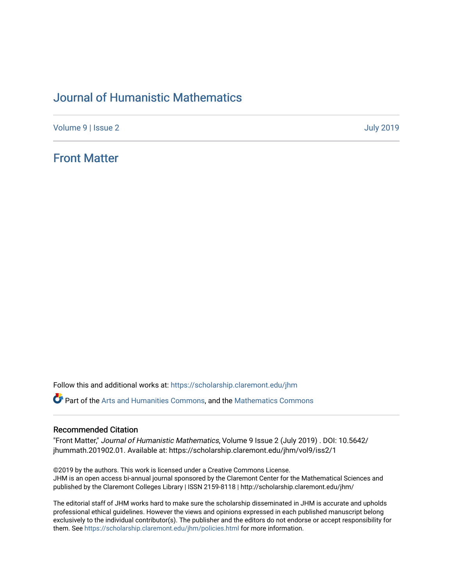# [Journal of Humanistic Mathematics](https://scholarship.claremont.edu/jhm)

[Volume 9](https://scholarship.claremont.edu/jhm/vol9) | [Issue 2](https://scholarship.claremont.edu/jhm/vol9/iss2) [July 2019](https://scholarship.claremont.edu/jhm/vol9/iss2) 

# [Front Matter](https://scholarship.claremont.edu/jhm/vol9/iss2/1)

Follow this and additional works at: [https://scholarship.claremont.edu/jhm](https://scholarship.claremont.edu/jhm?utm_source=scholarship.claremont.edu%2Fjhm%2Fvol9%2Fiss2%2F1&utm_medium=PDF&utm_campaign=PDFCoverPages)

**Part of the [Arts and Humanities Commons,](http://network.bepress.com/hgg/discipline/438?utm_source=scholarship.claremont.edu%2Fjhm%2Fvol9%2Fiss2%2F1&utm_medium=PDF&utm_campaign=PDFCoverPages) and the Mathematics Commons** 

## Recommended Citation

"Front Matter," Journal of Humanistic Mathematics, Volume 9 Issue 2 (July 2019) . DOI: 10.5642/ jhummath.201902.01. Available at: https://scholarship.claremont.edu/jhm/vol9/iss2/1

©2019 by the authors. This work is licensed under a Creative Commons License. JHM is an open access bi-annual journal sponsored by the Claremont Center for the Mathematical Sciences and published by the Claremont Colleges Library | ISSN 2159-8118 | http://scholarship.claremont.edu/jhm/

The editorial staff of JHM works hard to make sure the scholarship disseminated in JHM is accurate and upholds professional ethical guidelines. However the views and opinions expressed in each published manuscript belong exclusively to the individual contributor(s). The publisher and the editors do not endorse or accept responsibility for them. See<https://scholarship.claremont.edu/jhm/policies.html> for more information.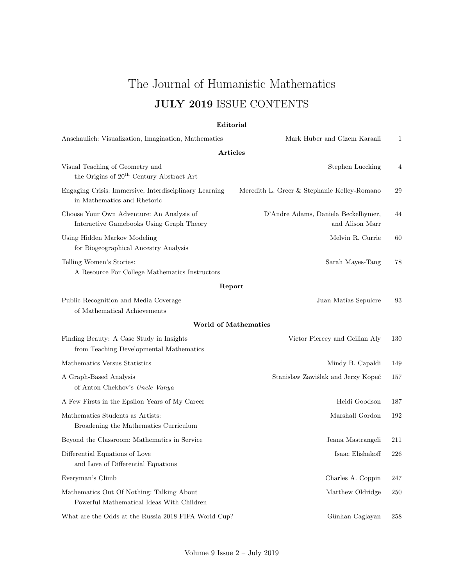# The Journal of Humanistic Mathematics JULY 2019 ISSUE CONTENTS

## Editorial

| Anschaulich: Visualization, Imagination, Mathematics                                    | Mark Huber and Gizem Karaali                           | 1   |
|-----------------------------------------------------------------------------------------|--------------------------------------------------------|-----|
| <b>Articles</b>                                                                         |                                                        |     |
| Visual Teaching of Geometry and<br>the Origins of 20 <sup>th</sup> Century Abstract Art | <b>Stephen Luecking</b>                                | 4   |
| Engaging Crisis: Immersive, Interdisciplinary Learning<br>in Mathematics and Rhetoric   | Meredith L. Greer & Stephanie Kelley-Romano            | 29  |
| Choose Your Own Adventure: An Analysis of<br>Interactive Gamebooks Using Graph Theory   | D'Andre Adams, Daniela Beckelhymer,<br>and Alison Marr | 44  |
| Using Hidden Markov Modeling<br>for Biogeographical Ancestry Analysis                   | Melvin R. Currie                                       | 60  |
| Telling Women's Stories:<br>A Resource For College Mathematics Instructors              | Sarah Mayes-Tang                                       | 78  |
| Report                                                                                  |                                                        |     |
| Public Recognition and Media Coverage<br>of Mathematical Achievements                   | Juan Matías Sepulcre                                   | 93  |
| <b>World of Mathematics</b>                                                             |                                                        |     |
| Finding Beauty: A Case Study in Insights<br>from Teaching Developmental Mathematics     | Victor Piercey and Geillan Aly                         | 130 |
| Mathematics Versus Statistics                                                           | Mindy B. Capaldi                                       | 149 |
| A Graph-Based Analysis<br>of Anton Chekhov's Uncle Vanya                                | Stanisław Zawiślak and Jerzy Kopeć                     | 157 |
| A Few Firsts in the Epsilon Years of My Career                                          | Heidi Goodson                                          | 187 |
| Mathematics Students as Artists:<br>Broadening the Mathematics Curriculum               | Marshall Gordon                                        | 192 |
| Beyond the Classroom: Mathematics in Service                                            | Jeana Mastrangeli                                      | 211 |
| Differential Equations of Love<br>and Love of Differential Equations                    | Isaac Elishakoff                                       | 226 |
| Everyman's Climb                                                                        | Charles A. Coppin                                      | 247 |
| Mathematics Out Of Nothing: Talking About<br>Powerful Mathematical Ideas With Children  | Matthew Oldridge                                       | 250 |
| What are the Odds at the Russia 2018 FIFA World Cup?                                    | Günhan Caglayan                                        | 258 |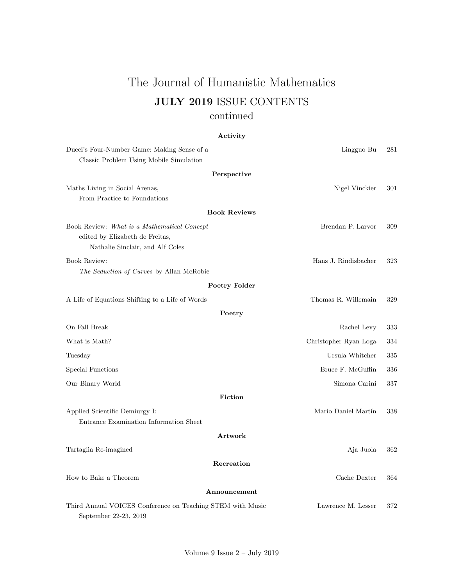# The Journal of Humanistic Mathematics JULY 2019 ISSUE CONTENTS continued

# Activity

| Ducci's Four-Number Game: Making Sense of a                                         | Lingguo Bu            | 281 |
|-------------------------------------------------------------------------------------|-----------------------|-----|
| Classic Problem Using Mobile Simulation                                             |                       |     |
| Perspective                                                                         |                       |     |
| Maths Living in Social Arenas,                                                      | Nigel Vinckier        | 301 |
| From Practice to Foundations                                                        |                       |     |
| <b>Book Reviews</b>                                                                 |                       |     |
| Book Review: What is a Mathematical Concept                                         | Brendan P. Larvor     | 309 |
| edited by Elizabeth de Freitas,                                                     |                       |     |
| Nathalie Sinclair, and Alf Coles                                                    |                       |     |
| <b>Book Review:</b>                                                                 | Hans J. Rindisbacher  | 323 |
| The Seduction of Curves by Allan McRobie                                            |                       |     |
| Poetry Folder                                                                       |                       |     |
| A Life of Equations Shifting to a Life of Words                                     | Thomas R. Willemain   | 329 |
| Poetry                                                                              |                       |     |
| On Fall Break                                                                       | Rachel Levy           | 333 |
| What is Math?                                                                       | Christopher Ryan Loga | 334 |
| Tuesday                                                                             | Ursula Whitcher       | 335 |
| Special Functions                                                                   | Bruce F. McGuffin     | 336 |
| Our Binary World                                                                    | Simona Carini         | 337 |
| Fiction                                                                             |                       |     |
| Applied Scientific Demiurgy I:                                                      | Mario Daniel Martín   | 338 |
| Entrance Examination Information Sheet                                              |                       |     |
| Artwork                                                                             |                       |     |
| Tartaglia Re-imagined                                                               | Aja Juola             | 362 |
| Recreation                                                                          |                       |     |
| How to Bake a Theorem                                                               | Cache Dexter          | 364 |
| Announcement                                                                        |                       |     |
| Third Annual VOICES Conference on Teaching STEM with Music<br>September 22-23, 2019 | Lawrence M. Lesser    | 372 |